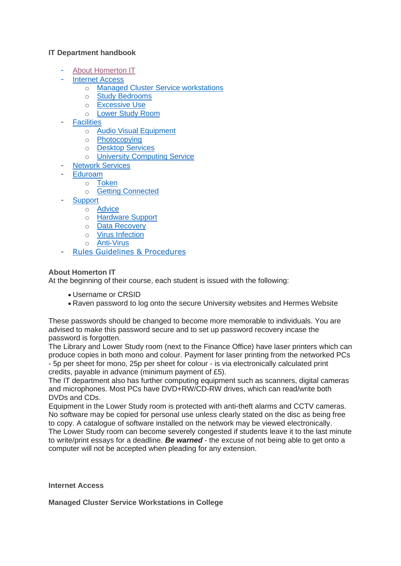## **IT Department handbook**

- About Homerton IT
- Internet Access
	- o [Managed Cluster Service workstations](#page-0-2)
	- o [Study Bedrooms](#page-1-0)
	- o [Excessive Use](#page-1-1)
	- o [Lower Study Room](#page-1-2)
- <span id="page-0-3"></span>**[Facilities](#page-0-3)** 
	- o [Audio Visual Equipment](#page-1-3)
	- o [Photocopying](#page-1-4)
	- o [Desktop Services](#page-3-0)
	- o [University Computing](#page-1-5) Service
- **[Network Services](#page-2-0)**
- **[Eduroam](#page-2-1)** 
	- o [Token](#page-2-2)
		- o [Getting Connected](#page-2-3)
- **[Support](#page-3-1)** 
	- o [Advice](#page-3-2)
	- o [Hardware Support](#page-3-3)
	- o [Data Recovery](#page-3-4)
	- o [Virus Infection](#page-3-5)
	- o [Anti-Virus](#page-3-6)
- [Rules Guidelines & Procedures](#page-4-0)

# <span id="page-0-0"></span>**About Homerton IT**

At the beginning of their course, each student is issued with the following:

- Username or CRSID
- Raven password to log onto the secure University websites and Hermes Website

These passwords should be changed to become more memorable to individuals. You are advised to make this password secure and to set up password recovery incase the password is forgotten.

The Library and Lower Study room (next to the Finance Office) have laser printers which can produce copies in both mono and colour. Payment for laser printing from the networked PCs - 5p per sheet for mono, 25p per sheet for colour - is via electronically calculated print credits, payable in advance (minimum payment of £5).

The IT department also has further computing equipment such as scanners, digital cameras and microphones. Most PCs have DVD+RW/CD-RW drives, which can read/write both DVDs and CDs.

Equipment in the Lower Study room is protected with anti-theft alarms and CCTV cameras. No software may be copied for personal use unless clearly stated on the disc as being free to copy. A catalogue of software installed on the network may be viewed electronically. The Lower Study room can become severely congested if students leave it to the last minute to write/print essays for a deadline. *Be warned* - the excuse of not being able to get onto a computer will not be accepted when pleading for any extension.

## <span id="page-0-1"></span>**Internet Access**

<span id="page-0-2"></span>**Managed Cluster Service Workstations in College**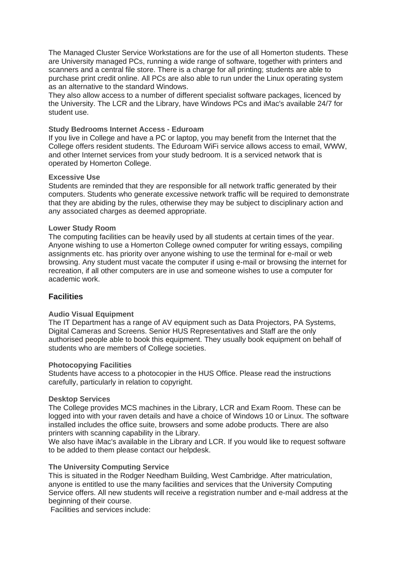The Managed Cluster Service Workstations are for the use of all Homerton students. These are University managed PCs, running a wide range of software, together with printers and scanners and a central file store. There is a charge for all printing; students are able to purchase print credit online. All PCs are also able to run under the Linux operating system as an alternative to the standard Windows.

They also allow access to a number of different specialist software packages, licenced by the University. The LCR and the Library, have Windows PCs and iMac's available 24/7 for student use.

#### <span id="page-1-0"></span>**Study Bedrooms Internet Access - Eduroam**

If you live in College and have a PC or laptop, you may benefit from the Internet that the College offers resident students. The Eduroam WiFi service allows access to email, WWW, and other Internet services from your study bedroom. It is a serviced network that is operated by Homerton College.

## <span id="page-1-1"></span>**Excessive Use**

Students are reminded that they are responsible for all network traffic generated by their computers. Students who generate excessive network traffic will be required to demonstrate that they are abiding by the rules, otherwise they may be subject to disciplinary action and any associated charges as deemed appropriate.

#### <span id="page-1-2"></span>**Lower Study Room**

The computing facilities can be heavily used by all students at certain times of the year. Anyone wishing to use a Homerton College owned computer for writing essays, compiling assignments etc. has priority over anyone wishing to use the terminal for e-mail or web browsing. Any student must vacate the computer if using e-mail or browsing the internet for recreation, if all other computers are in use and someone wishes to use a computer for academic work.

## **Facilities**

## <span id="page-1-3"></span>**Audio Visual Equipment**

The IT Department has a range of AV equipment such as Data Projectors, PA Systems, Digital Cameras and Screens. Senior HUS Representatives and Staff are the only authorised people able to book this equipment. They usually book equipment on behalf of students who are members of College societies.

#### <span id="page-1-4"></span>**Photocopying Facilities**

Students have access to a photocopier in the HUS Office. Please read the instructions carefully, particularly in relation to copyright.

#### **Desktop Services**

The College provides MCS machines in the Library, LCR and Exam Room. These can be logged into with your raven details and have a choice of Windows 10 or Linux. The software installed includes the office suite, browsers and some adobe products. There are also printers with scanning capability in the Library.

We also have iMac's available in the Library and LCR. If you would like to request software to be added to them please contact our helpdesk.

#### <span id="page-1-5"></span>**The University Computing Service**

This is situated in the Rodger Needham Building, West Cambridge. After matriculation, anyone is entitled to use the many facilities and services that the University Computing Service offers. All new students will receive a registration number and e-mail address at the beginning of their course.

Facilities and services include: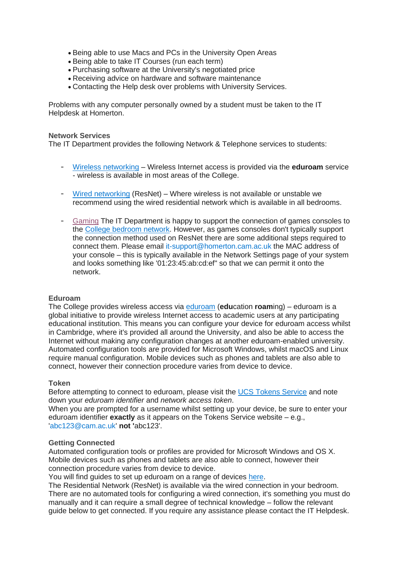- Being able to use Macs and PCs in the University Open Areas
- Being able to take IT Courses (run each term)
- Purchasing software at the University's negotiated price
- Receiving advice on hardware and software maintenance
- Contacting the Help desk over problems with University Services.

Problems with any computer personally owned by a student must be taken to the IT Helpdesk at Homerton.

#### <span id="page-2-0"></span>**Network Services**

The IT Department provides the following Network & Telephone services to students:

- [Wireless networking](https://nexus.homerton.cam.ac.uk/node/55) Wireless Internet access is provided via the **eduroam** service - wireless is available in most areas of the College.
- [Wired networking](https://nexus.homerton.cam.ac.uk/node/54) (ResNet) Where wireless is not available or unstable we recommend using the wired residential network which is available in all bedrooms.
- [Gaming](https://nexus.homerton.cam.ac.uk/computing/network/gaming) The IT Department is happy to support the connection of games consoles to the [College bedroom network.](https://nexus.homerton.cam.ac.uk/node/54) However, as games consoles don't typically support the connection method used on ResNet there are some additional steps required to connect them. Please email it-support@homerton.cam.ac.uk the MAC address of your console – this is typically available in the Network Settings page of your system and looks something like '01:23:45:ab:cd:ef" so that we can permit it onto the network.

#### <span id="page-2-1"></span>**Eduroam**

The College provides wireless access via [eduroam](https://www.eduroam.org/) (**edu**cation **roam**ing) – eduroam is a global initiative to provide wireless Internet access to academic users at any participating educational institution. This means you can configure your device for eduroam access whilst in Cambridge, where it's provided all around the University, and also be able to access the Internet without making any configuration changes at another eduroam-enabled university. Automated configuration tools are provided for Microsoft Windows, whilst macOS and Linux require manual configuration. Mobile devices such as phones and tablets are also able to connect, however their connection procedure varies from device to device.

#### <span id="page-2-2"></span>**Token**

Before attempting to connect to eduroam, please visit the [UCS Tokens Service](https://tokens.csx.cam.ac.uk/) and note down your *eduroam identifier* and *network access token*.

When you are prompted for a username whilst setting up your device, be sure to enter your eduroam identifier **exactly** as it appears on the Tokens Service website – e.g., 'abc123@cam.ac.uk' **not '**abc123'.

#### <span id="page-2-3"></span>**Getting Connected**

Automated configuration tools or profiles are provided for Microsoft Windows and OS X. Mobile devices such as phones and tablets are also able to connect, however their connection procedure varies from device to device.

You will find quides to set up eduroam on a range of devices [here.](https://help.uis.cam.ac.uk/service/wi-fi)

The Residential Network (ResNet) is available via the wired connection in your bedroom. There are no automated tools for configuring a wired connection, it's something you must do manually and it can require a small degree of technical knowledge – follow the relevant guide below to get connected. If you require any assistance please contact the IT Helpdesk.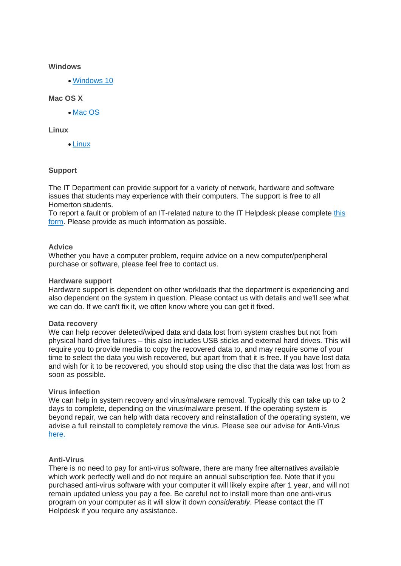### **Windows**

• [Windows 10](https://nexus.homerton.cam.ac.uk/files/connecting_windows_10_to_resnet_wired_eduroam.pdf)

### **Mac OS X**

• [Mac OS](https://nexus.homerton.cam.ac.uk/files/media/resnet_on_mac_os.pdf)

## **Linux**

• [Linux](https://nexus.homerton.cam.ac.uk/files/using_resnet_wired_on_linux.pdf)

## <span id="page-3-1"></span><span id="page-3-0"></span>**Support**

The IT Department can provide support for a variety of network, hardware and software issues that students may experience with their computers. The support is free to all Homerton students.

To report a fault or problem of an IT-related nature to the IT Helpdesk please complete [this](https://intranet.homerton.cam.ac.uk/it/report-fault)  [form.](https://intranet.homerton.cam.ac.uk/it/report-fault) Please provide as much information as possible.

## <span id="page-3-2"></span>**Advice**

Whether you have a computer problem, require advice on a new computer/peripheral purchase or software, please feel free to contact us.

#### <span id="page-3-3"></span>**Hardware support**

Hardware support is dependent on other workloads that the department is experiencing and also dependent on the system in question. Please contact us with details and we'll see what we can do. If we can't fix it, we often know where you can get it fixed.

#### <span id="page-3-4"></span>**Data recovery**

We can help recover deleted/wiped data and data lost from system crashes but not from physical hard drive failures – this also includes USB sticks and external hard drives. This will require you to provide media to copy the recovered data to, and may require some of your time to select the data you wish recovered, but apart from that it is free. If you have lost data and wish for it to be recovered, you should stop using the disc that the data was lost from as soon as possible.

#### <span id="page-3-5"></span>**Virus infection**

We can help in system recovery and virus/malware removal. Typically this can take up to 2 days to complete, depending on the virus/malware present. If the operating system is beyond repair, we can help with data recovery and reinstallation of the operating system, we advise a full reinstall to completely remove the virus. Please see our advise for Anti-Virus [here.](https://nexus.homerton.cam.ac.uk/computing/support/anti-virus)

## <span id="page-3-6"></span>**Anti-Virus**

There is no need to pay for anti-virus software, there are many free alternatives available which work perfectly well and do not require an annual subscription fee. Note that if you purchased anti-virus software with your computer it will likely expire after 1 year, and will not remain updated unless you pay a fee. Be careful not to install more than one anti-virus program on your computer as it will slow it down *considerably*. Please contact the IT Helpdesk if you require any assistance.